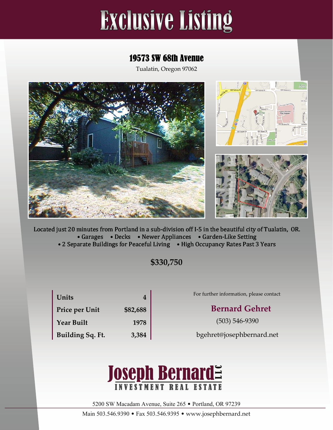# **Exclusive Listing**

## 19573 SW 68th Avenue

Tualatin, Oregon 97062



Located just 20 minutes from Portland in a sub‐division off I‐5 in the beautiful city of Tualatin, OR. • Garages • Decks • Newer Appliances • Garden-Like Setting • 2 Separate Buildings for Peaceful Living • High Occupancy Rates Past 3 Years

**\$330,750**

| Units             | 4        |
|-------------------|----------|
| Price per Unit    | \$82,688 |
| <b>Year Built</b> | 1978     |
| Building Sq. Ft.  | 3,384    |

For further information, please contact:

## **Bernard** Gehret

(503) 546‐9390

bgehret@josephbernard.net



5200 SW Macadam Avenue, Suite 265 • Portland, OR 97239

Main 503.546.9390 • Fax 503.546.9395 • www.josephbernard.net